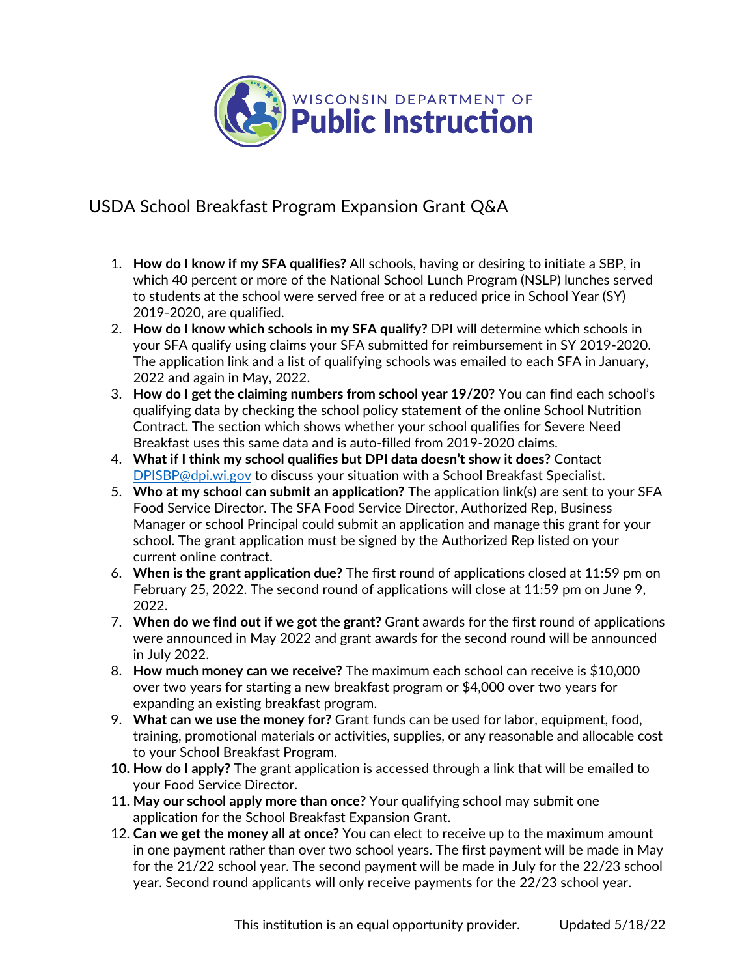

## USDA School Breakfast Program Expansion Grant Q&A

- 1. **How do I know if my SFA qualifies?** All schools, having or desiring to initiate a SBP, in which 40 percent or more of the National School Lunch Program (NSLP) lunches served to students at the school were served free or at a reduced price in School Year (SY) 2019-2020, are qualified.
- 2. **How do I know which schools in my SFA qualify?** DPI will determine which schools in your SFA qualify using claims your SFA submitted for reimbursement in SY 2019-2020. The application link and a list of qualifying schools was emailed to each SFA in January, 2022 and again in May, 2022.
- 3. **How do I get the claiming numbers from school year 19/20?** You can find each school's qualifying data by checking the school policy statement of the online School Nutrition Contract. The section which shows whether your school qualifies for Severe Need Breakfast uses this same data and is auto-filled from 2019-2020 claims.
- 4. **What if I think my school qualifies but DPI data doesn't show it does?** Contact [DPISBP@dpi.wi.gov](mailto:DPISBP@dpi.wi.gov) to discuss your situation with a School Breakfast Specialist.
- 5. **Who at my school can submit an application?** The application link(s) are sent to your SFA Food Service Director. The SFA Food Service Director, Authorized Rep, Business Manager or school Principal could submit an application and manage this grant for your school. The grant application must be signed by the Authorized Rep listed on your current online contract.
- 6. **When is the grant application due?** The first round of applications closed at 11:59 pm on February 25, 2022. The second round of applications will close at 11:59 pm on June 9, 2022.
- 7. **When do we find out if we got the grant?** Grant awards for the first round of applications were announced in May 2022 and grant awards for the second round will be announced in July 2022.
- 8. **How much money can we receive?** The maximum each school can receive is \$10,000 over two years for starting a new breakfast program or \$4,000 over two years for expanding an existing breakfast program.
- 9. **What can we use the money for?** Grant funds can be used for labor, equipment, food, training, promotional materials or activities, supplies, or any reasonable and allocable cost to your School Breakfast Program.
- **10. How do I apply?** The grant application is accessed through a link that will be emailed to your Food Service Director.
- 11. **May our school apply more than once?** Your qualifying school may submit one application for the School Breakfast Expansion Grant.
- 12. **Can we get the money all at once?** You can elect to receive up to the maximum amount in one payment rather than over two school years. The first payment will be made in May for the 21/22 school year. The second payment will be made in July for the 22/23 school year. Second round applicants will only receive payments for the 22/23 school year.